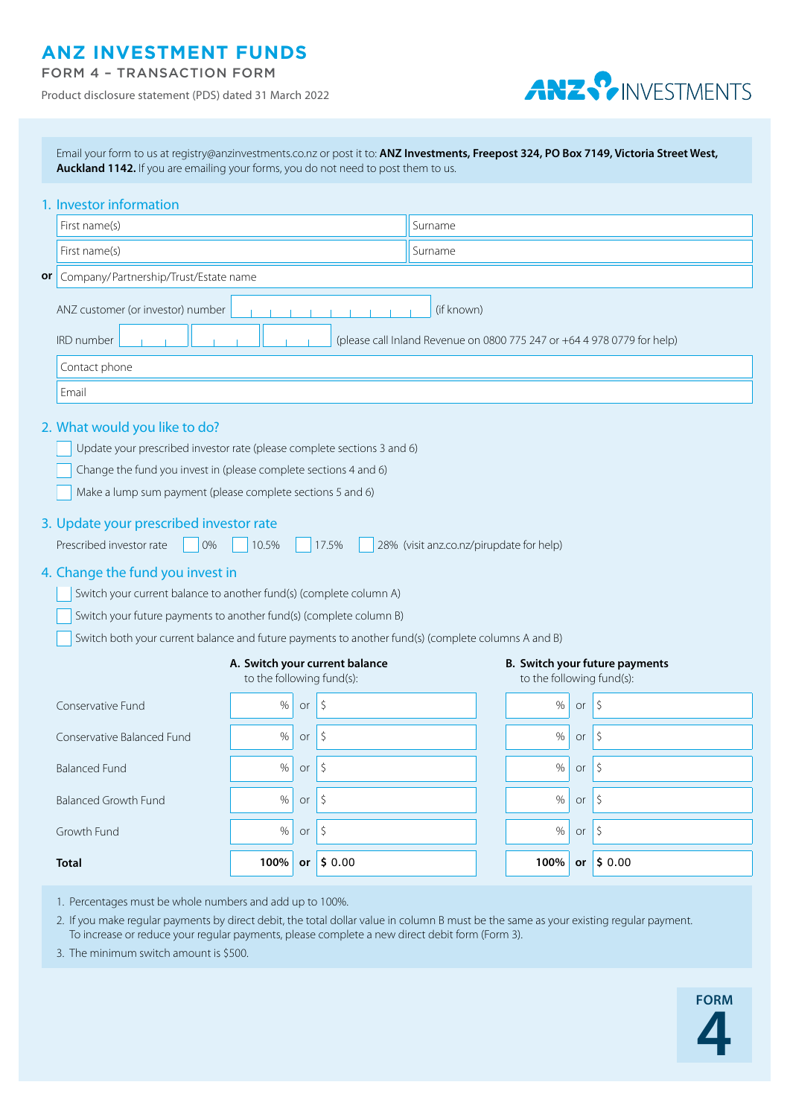## **ANZ INVESTMENT FUNDS**

|  |  |  | <b>FORM 4 - TRANSACTION FORM</b> |
|--|--|--|----------------------------------|
|  |  |  |                                  |

Product disclosure statement (PDS) dated 31 March 2022



|                                                                                                                                                                                                                                                                                                                                                                                       | Email your form to us at registry@anzinvestments.co.nz or post it to: ANZ Investments, Freepost 324, PO Box 7149, Victoria Street West,<br>Auckland 1142. If you are emailing your forms, you do not need to post them to us. |                                                             |               |                    |                                                             |  |      |                  |                          |  |  |
|---------------------------------------------------------------------------------------------------------------------------------------------------------------------------------------------------------------------------------------------------------------------------------------------------------------------------------------------------------------------------------------|-------------------------------------------------------------------------------------------------------------------------------------------------------------------------------------------------------------------------------|-------------------------------------------------------------|---------------|--------------------|-------------------------------------------------------------|--|------|------------------|--------------------------|--|--|
|                                                                                                                                                                                                                                                                                                                                                                                       | 1. Investor information                                                                                                                                                                                                       |                                                             |               |                    |                                                             |  |      |                  |                          |  |  |
|                                                                                                                                                                                                                                                                                                                                                                                       | First name(s)                                                                                                                                                                                                                 |                                                             | Surname       |                    |                                                             |  |      |                  |                          |  |  |
|                                                                                                                                                                                                                                                                                                                                                                                       | First name(s)                                                                                                                                                                                                                 |                                                             | Surname       |                    |                                                             |  |      |                  |                          |  |  |
| or                                                                                                                                                                                                                                                                                                                                                                                    | Company/Partnership/Trust/Estate name                                                                                                                                                                                         |                                                             |               |                    |                                                             |  |      |                  |                          |  |  |
|                                                                                                                                                                                                                                                                                                                                                                                       | ANZ customer (or investor) number<br>(if known)<br>(please call Inland Revenue on 0800 775 247 or +64 4 978 0779 for help)<br><b>IRD</b> number                                                                               |                                                             |               |                    |                                                             |  |      |                  |                          |  |  |
|                                                                                                                                                                                                                                                                                                                                                                                       | Contact phone                                                                                                                                                                                                                 |                                                             |               |                    |                                                             |  |      |                  |                          |  |  |
|                                                                                                                                                                                                                                                                                                                                                                                       | Email                                                                                                                                                                                                                         |                                                             |               |                    |                                                             |  |      |                  |                          |  |  |
| 2. What would you like to do?<br>Update your prescribed investor rate (please complete sections 3 and 6)<br>Change the fund you invest in (please complete sections 4 and 6)<br>Make a lump sum payment (please complete sections 5 and 6)<br>3. Update your prescribed investor rate<br>Prescribed investor rate<br>10.5%<br>17.5%<br>0%<br>28% (visit anz.co.nz/pirupdate for help) |                                                                                                                                                                                                                               |                                                             |               |                    |                                                             |  |      |                  |                          |  |  |
|                                                                                                                                                                                                                                                                                                                                                                                       | 4. Change the fund you invest in<br>Switch your current balance to another fund(s) (complete column A)                                                                                                                        |                                                             |               |                    |                                                             |  |      |                  |                          |  |  |
|                                                                                                                                                                                                                                                                                                                                                                                       | Switch your future payments to another fund(s) (complete column B)                                                                                                                                                            |                                                             |               |                    |                                                             |  |      |                  |                          |  |  |
| Switch both your current balance and future payments to another fund(s) (complete columns A and B)                                                                                                                                                                                                                                                                                    |                                                                                                                                                                                                                               |                                                             |               |                    |                                                             |  |      |                  |                          |  |  |
|                                                                                                                                                                                                                                                                                                                                                                                       |                                                                                                                                                                                                                               | A. Switch your current balance<br>to the following fund(s): |               |                    | B. Switch your future payments<br>to the following fund(s): |  |      |                  |                          |  |  |
|                                                                                                                                                                                                                                                                                                                                                                                       | Conservative Fund                                                                                                                                                                                                             | $\%$                                                        | or            | Ŝ.                 |                                                             |  | $\%$ | or               | -\$                      |  |  |
|                                                                                                                                                                                                                                                                                                                                                                                       | Conservative Balanced Fund                                                                                                                                                                                                    | %                                                           | or $\sqrt{5}$ |                    |                                                             |  | %    | or               | \$                       |  |  |
|                                                                                                                                                                                                                                                                                                                                                                                       | <b>Balanced Fund</b>                                                                                                                                                                                                          | $\%$                                                        | or            | $\vert \zeta$      |                                                             |  | $\%$ | or $\frac{1}{2}$ |                          |  |  |
|                                                                                                                                                                                                                                                                                                                                                                                       | <b>Balanced Growth Fund</b>                                                                                                                                                                                                   | $\%$                                                        | or            | $\vert \zeta$      |                                                             |  | $\%$ | or               | $ \zeta $                |  |  |
|                                                                                                                                                                                                                                                                                                                                                                                       | Growth Fund                                                                                                                                                                                                                   | $\%$                                                        | or            | $\vert \zeta$      |                                                             |  | $\%$ | or               | $\vert \mathsf{S} \vert$ |  |  |
|                                                                                                                                                                                                                                                                                                                                                                                       | <b>Total</b>                                                                                                                                                                                                                  | 100%                                                        |               | or $\vert$ \$ 0.00 |                                                             |  | 100% |                  | or $\vert$ \$ 0.00       |  |  |

1. Percentages must be whole numbers and add up to 100%.

2. If you make regular payments by direct debit, the total dollar value in column B must be the same as your existing regular payment. To increase or reduce your regular payments, please complete a new direct debit form (Form 3).

3. The minimum switch amount is \$500.